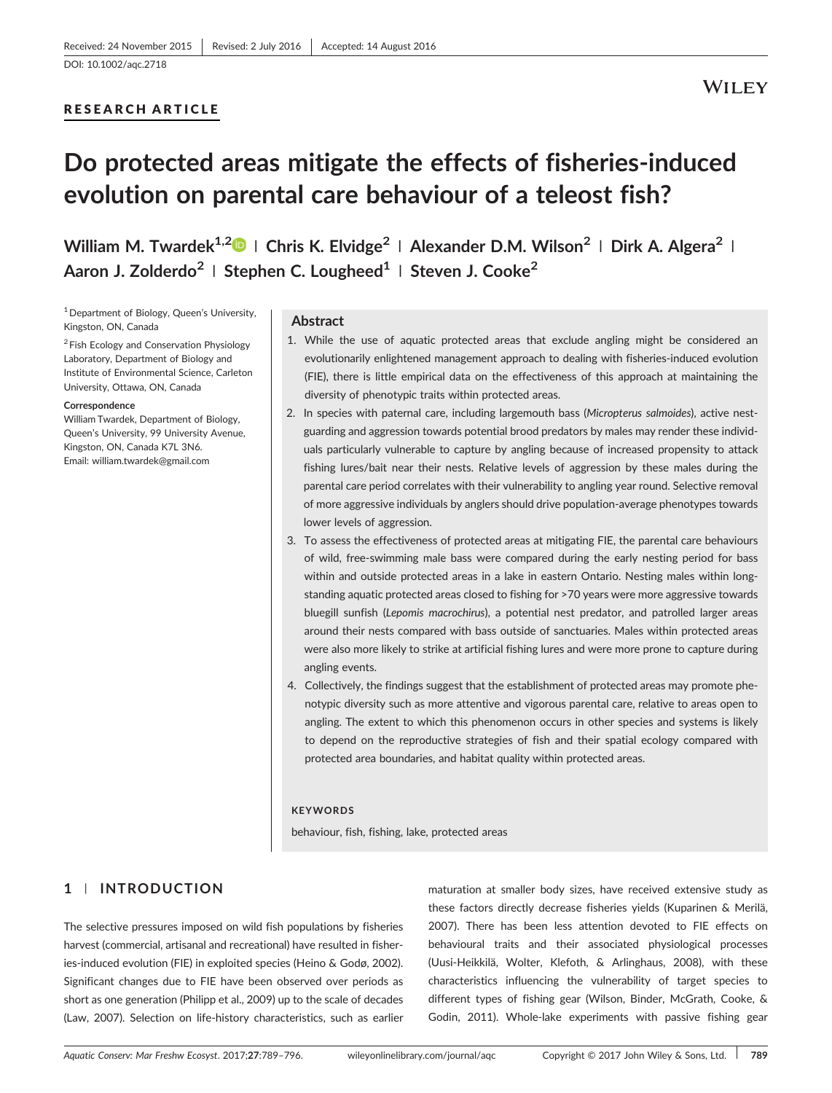[DOI: 10.1002/aqc.2718](https://doi.org/10.1002/aqc.2718)

## RESEARCH ARTICLE

## **WILEY**

# Do protected areas mitigate the effects of fisheries‐induced evolution on parental care behaviour of a teleost fish?

William M. Twardek<sup>1,2</sup> | Chris K. Elvidge<sup>2</sup> | Alexander D.M. Wilson<sup>2</sup> | Dirk A. Algera<sup>2</sup> | Aaron J. Zolderdo<sup>2</sup> | Stephen C. Lougheed<sup>1</sup> | Steven J. Cooke<sup>2</sup>

 $1$  Department of Biology, Queen's University, Kingston, ON, Canada

<sup>2</sup> Fish Ecology and Conservation Physiology Laboratory, Department of Biology and Institute of Environmental Science, Carleton University, Ottawa, ON, Canada

#### **Correspondence**

William Twardek, Department of Biology, Queen's University, 99 University Avenue, Kingston, ON, Canada K7L 3N6. Email: [william.twardek@gmail.com](mailto:william.twardek@gmail.com)

#### Abstract

- 1. While the use of aquatic protected areas that exclude angling might be considered an evolutionarily enlightened management approach to dealing with fisheries-induced evolution (FIE), there is little empirical data on the effectiveness of this approach at maintaining the diversity of phenotypic traits within protected areas.
- 2. In species with paternal care, including largemouth bass (Micropterus salmoides), active nestguarding and aggression towards potential brood predators by males may render these individuals particularly vulnerable to capture by angling because of increased propensity to attack fishing lures/bait near their nests. Relative levels of aggression by these males during the parental care period correlates with their vulnerability to angling year round. Selective removal of more aggressive individuals by anglers should drive population‐average phenotypes towards lower levels of aggression.
- 3. To assess the effectiveness of protected areas at mitigating FIE, the parental care behaviours of wild, free‐swimming male bass were compared during the early nesting period for bass within and outside protected areas in a lake in eastern Ontario. Nesting males within longstanding aquatic protected areas closed to fishing for >70 years were more aggressive towards bluegill sunfish (Lepomis macrochirus), a potential nest predator, and patrolled larger areas around their nests compared with bass outside of sanctuaries. Males within protected areas were also more likely to strike at artificial fishing lures and were more prone to capture during angling events.
- 4. Collectively, the findings suggest that the establishment of protected areas may promote phenotypic diversity such as more attentive and vigorous parental care, relative to areas open to angling. The extent to which this phenomenon occurs in other species and systems is likely to depend on the reproductive strategies of fish and their spatial ecology compared with protected area boundaries, and habitat quality within protected areas.

#### **KEYWORDS**

behaviour, fish, fishing, lake, protected areas

## 1 | INTRODUCTION

The selective pressures imposed on wild fish populations by fisheries harvest (commercial, artisanal and recreational) have resulted in fisheries-induced evolution (FIE) in exploited species (Heino & Godø, 2002). Significant changes due to FIE have been observed over periods as short as one generation (Philipp et al., 2009) up to the scale of decades (Law, 2007). Selection on life‐history characteristics, such as earlier

maturation at smaller body sizes, have received extensive study as these factors directly decrease fisheries yields (Kuparinen & Merilä, 2007). There has been less attention devoted to FIE effects on behavioural traits and their associated physiological processes (Uusi‐Heikkilä, Wolter, Klefoth, & Arlinghaus, 2008), with these characteristics influencing the vulnerability of target species to different types of fishing gear (Wilson, Binder, McGrath, Cooke, & Godin, 2011). Whole‐lake experiments with passive fishing gear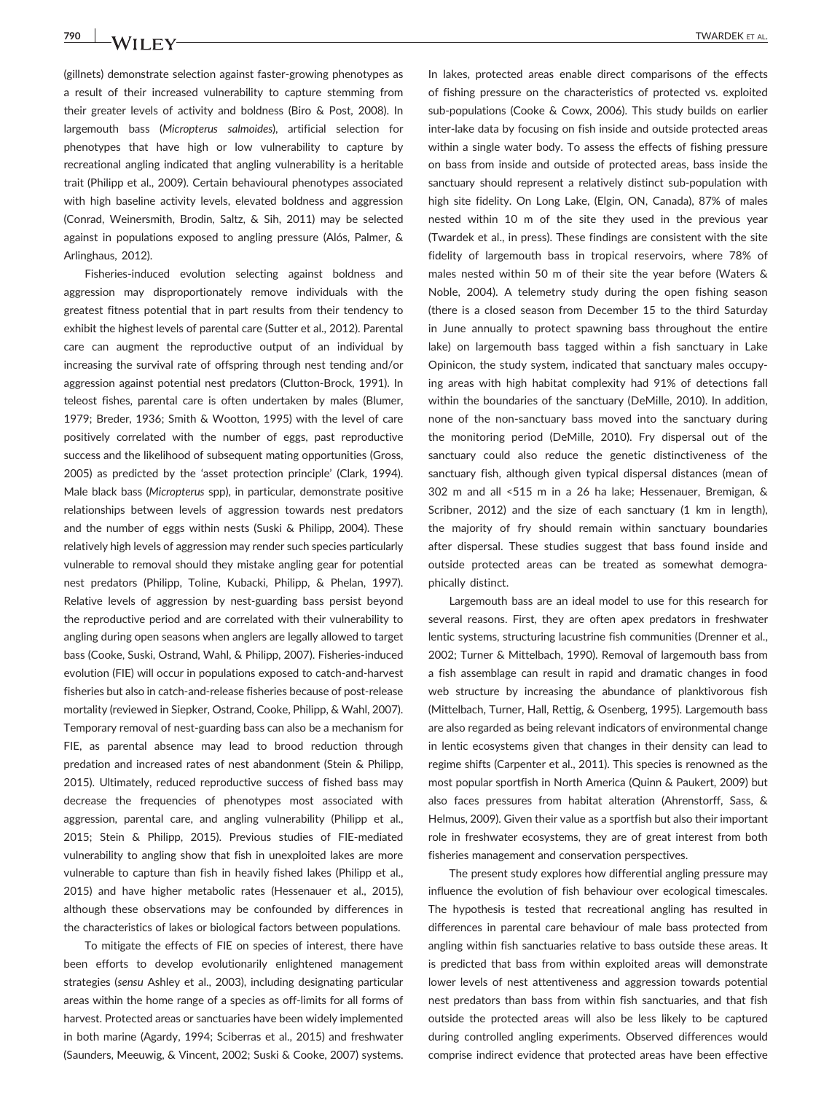(gillnets) demonstrate selection against faster‐growing phenotypes as a result of their increased vulnerability to capture stemming from their greater levels of activity and boldness (Biro & Post, 2008). In largemouth bass (Micropterus salmoides), artificial selection for phenotypes that have high or low vulnerability to capture by recreational angling indicated that angling vulnerability is a heritable trait (Philipp et al., 2009). Certain behavioural phenotypes associated with high baseline activity levels, elevated boldness and aggression (Conrad, Weinersmith, Brodin, Saltz, & Sih, 2011) may be selected against in populations exposed to angling pressure (Alós, Palmer, & Arlinghaus, 2012).

Fisheries-induced evolution selecting against boldness and aggression may disproportionately remove individuals with the greatest fitness potential that in part results from their tendency to exhibit the highest levels of parental care (Sutter et al., 2012). Parental care can augment the reproductive output of an individual by increasing the survival rate of offspring through nest tending and/or aggression against potential nest predators (Clutton‐Brock, 1991). In teleost fishes, parental care is often undertaken by males (Blumer, 1979; Breder, 1936; Smith & Wootton, 1995) with the level of care positively correlated with the number of eggs, past reproductive success and the likelihood of subsequent mating opportunities (Gross, 2005) as predicted by the 'asset protection principle' (Clark, 1994). Male black bass (Micropterus spp), in particular, demonstrate positive relationships between levels of aggression towards nest predators and the number of eggs within nests (Suski & Philipp, 2004). These relatively high levels of aggression may render such species particularly vulnerable to removal should they mistake angling gear for potential nest predators (Philipp, Toline, Kubacki, Philipp, & Phelan, 1997). Relative levels of aggression by nest‐guarding bass persist beyond the reproductive period and are correlated with their vulnerability to angling during open seasons when anglers are legally allowed to target bass (Cooke, Suski, Ostrand, Wahl, & Philipp, 2007). Fisheries‐induced evolution (FIE) will occur in populations exposed to catch-and-harvest fisheries but also in catch-and-release fisheries because of post-release mortality (reviewed in Siepker, Ostrand, Cooke, Philipp, & Wahl, 2007). Temporary removal of nest‐guarding bass can also be a mechanism for FIE, as parental absence may lead to brood reduction through predation and increased rates of nest abandonment (Stein & Philipp, 2015). Ultimately, reduced reproductive success of fished bass may decrease the frequencies of phenotypes most associated with aggression, parental care, and angling vulnerability (Philipp et al., 2015; Stein & Philipp, 2015). Previous studies of FIE‐mediated vulnerability to angling show that fish in unexploited lakes are more vulnerable to capture than fish in heavily fished lakes (Philipp et al., 2015) and have higher metabolic rates (Hessenauer et al., 2015), although these observations may be confounded by differences in the characteristics of lakes or biological factors between populations.

To mitigate the effects of FIE on species of interest, there have been efforts to develop evolutionarily enlightened management strategies (sensu Ashley et al., 2003), including designating particular areas within the home range of a species as off‐limits for all forms of harvest. Protected areas or sanctuaries have been widely implemented in both marine (Agardy, 1994; Sciberras et al., 2015) and freshwater (Saunders, Meeuwig, & Vincent, 2002; Suski & Cooke, 2007) systems.

In lakes, protected areas enable direct comparisons of the effects of fishing pressure on the characteristics of protected vs. exploited sub‐populations (Cooke & Cowx, 2006). This study builds on earlier inter‐lake data by focusing on fish inside and outside protected areas within a single water body. To assess the effects of fishing pressure on bass from inside and outside of protected areas, bass inside the sanctuary should represent a relatively distinct sub-population with high site fidelity. On Long Lake, (Elgin, ON, Canada), 87% of males nested within 10 m of the site they used in the previous year (Twardek et al., in press). These findings are consistent with the site fidelity of largemouth bass in tropical reservoirs, where 78% of males nested within 50 m of their site the year before (Waters & Noble, 2004). A telemetry study during the open fishing season (there is a closed season from December 15 to the third Saturday in June annually to protect spawning bass throughout the entire lake) on largemouth bass tagged within a fish sanctuary in Lake Opinicon, the study system, indicated that sanctuary males occupying areas with high habitat complexity had 91% of detections fall within the boundaries of the sanctuary (DeMille, 2010). In addition, none of the non-sanctuary bass moved into the sanctuary during the monitoring period (DeMille, 2010). Fry dispersal out of the sanctuary could also reduce the genetic distinctiveness of the sanctuary fish, although given typical dispersal distances (mean of 302 m and all <515 m in a 26 ha lake; Hessenauer, Bremigan, & Scribner, 2012) and the size of each sanctuary (1 km in length), the majority of fry should remain within sanctuary boundaries after dispersal. These studies suggest that bass found inside and outside protected areas can be treated as somewhat demographically distinct.

Largemouth bass are an ideal model to use for this research for several reasons. First, they are often apex predators in freshwater lentic systems, structuring lacustrine fish communities (Drenner et al., 2002; Turner & Mittelbach, 1990). Removal of largemouth bass from a fish assemblage can result in rapid and dramatic changes in food web structure by increasing the abundance of planktivorous fish (Mittelbach, Turner, Hall, Rettig, & Osenberg, 1995). Largemouth bass are also regarded as being relevant indicators of environmental change in lentic ecosystems given that changes in their density can lead to regime shifts (Carpenter et al., 2011). This species is renowned as the most popular sportfish in North America (Quinn & Paukert, 2009) but also faces pressures from habitat alteration (Ahrenstorff, Sass, & Helmus, 2009). Given their value as a sportfish but also their important role in freshwater ecosystems, they are of great interest from both fisheries management and conservation perspectives.

The present study explores how differential angling pressure may influence the evolution of fish behaviour over ecological timescales. The hypothesis is tested that recreational angling has resulted in differences in parental care behaviour of male bass protected from angling within fish sanctuaries relative to bass outside these areas. It is predicted that bass from within exploited areas will demonstrate lower levels of nest attentiveness and aggression towards potential nest predators than bass from within fish sanctuaries, and that fish outside the protected areas will also be less likely to be captured during controlled angling experiments. Observed differences would comprise indirect evidence that protected areas have been effective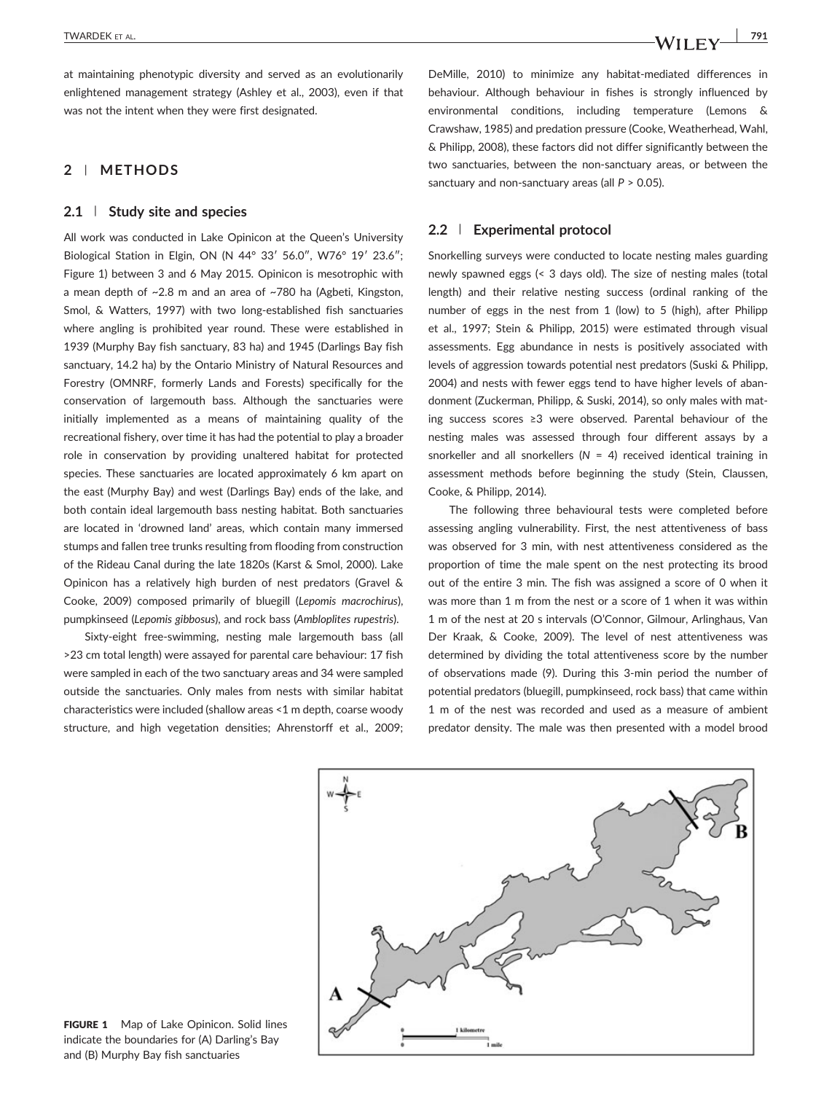at maintaining phenotypic diversity and served as an evolutionarily enlightened management strategy (Ashley et al., 2003), even if that was not the intent when they were first designated.

## 2 | METHODS

### 2.1 | Study site and species

All work was conducted in Lake Opinicon at the Queen's University Biological Station in Elgin, ON (N 44° 33′ 56.0″, W76° 19′ 23.6″; Figure 1) between 3 and 6 May 2015. Opinicon is mesotrophic with a mean depth of ~2.8 m and an area of ~780 ha (Agbeti, Kingston, Smol, & Watters, 1997) with two long‐established fish sanctuaries where angling is prohibited year round. These were established in 1939 (Murphy Bay fish sanctuary, 83 ha) and 1945 (Darlings Bay fish sanctuary, 14.2 ha) by the Ontario Ministry of Natural Resources and Forestry (OMNRF, formerly Lands and Forests) specifically for the conservation of largemouth bass. Although the sanctuaries were initially implemented as a means of maintaining quality of the recreational fishery, over time it has had the potential to play a broader role in conservation by providing unaltered habitat for protected species. These sanctuaries are located approximately 6 km apart on the east (Murphy Bay) and west (Darlings Bay) ends of the lake, and both contain ideal largemouth bass nesting habitat. Both sanctuaries are located in 'drowned land' areas, which contain many immersed stumps and fallen tree trunks resulting from flooding from construction of the Rideau Canal during the late 1820s (Karst & Smol, 2000). Lake Opinicon has a relatively high burden of nest predators (Gravel & Cooke, 2009) composed primarily of bluegill (Lepomis macrochirus), pumpkinseed (Lepomis gibbosus), and rock bass (Ambloplites rupestris).

Sixty‐eight free‐swimming, nesting male largemouth bass (all >23 cm total length) were assayed for parental care behaviour: 17 fish were sampled in each of the two sanctuary areas and 34 were sampled outside the sanctuaries. Only males from nests with similar habitat characteristics were included (shallow areas <1 m depth, coarse woody structure, and high vegetation densities; Ahrenstorff et al., 2009;

DeMille, 2010) to minimize any habitat-mediated differences in behaviour. Although behaviour in fishes is strongly influenced by environmental conditions, including temperature (Lemons & Crawshaw, 1985) and predation pressure (Cooke, Weatherhead, Wahl, & Philipp, 2008), these factors did not differ significantly between the two sanctuaries, between the non‐sanctuary areas, or between the sanctuary and non-sanctuary areas (all  $P > 0.05$ ).

## 2.2 | Experimental protocol

Snorkelling surveys were conducted to locate nesting males guarding newly spawned eggs (< 3 days old). The size of nesting males (total length) and their relative nesting success (ordinal ranking of the number of eggs in the nest from 1 (low) to 5 (high), after Philipp et al., 1997; Stein & Philipp, 2015) were estimated through visual assessments. Egg abundance in nests is positively associated with levels of aggression towards potential nest predators (Suski & Philipp, 2004) and nests with fewer eggs tend to have higher levels of abandonment (Zuckerman, Philipp, & Suski, 2014), so only males with mating success scores ≥3 were observed. Parental behaviour of the nesting males was assessed through four different assays by a snorkeller and all snorkellers ( $N = 4$ ) received identical training in assessment methods before beginning the study (Stein, Claussen, Cooke, & Philipp, 2014).

The following three behavioural tests were completed before assessing angling vulnerability. First, the nest attentiveness of bass was observed for 3 min, with nest attentiveness considered as the proportion of time the male spent on the nest protecting its brood out of the entire 3 min. The fish was assigned a score of 0 when it was more than 1 m from the nest or a score of 1 when it was within 1 m of the nest at 20 s intervals (O'Connor, Gilmour, Arlinghaus, Van Der Kraak, & Cooke, 2009). The level of nest attentiveness was determined by dividing the total attentiveness score by the number of observations made (9). During this 3‐min period the number of potential predators (bluegill, pumpkinseed, rock bass) that came within 1 m of the nest was recorded and used as a measure of ambient predator density. The male was then presented with a model brood



FIGURE 1 Map of Lake Opinicon. Solid lines indicate the boundaries for (A) Darling's Bay and (B) Murphy Bay fish sanctuaries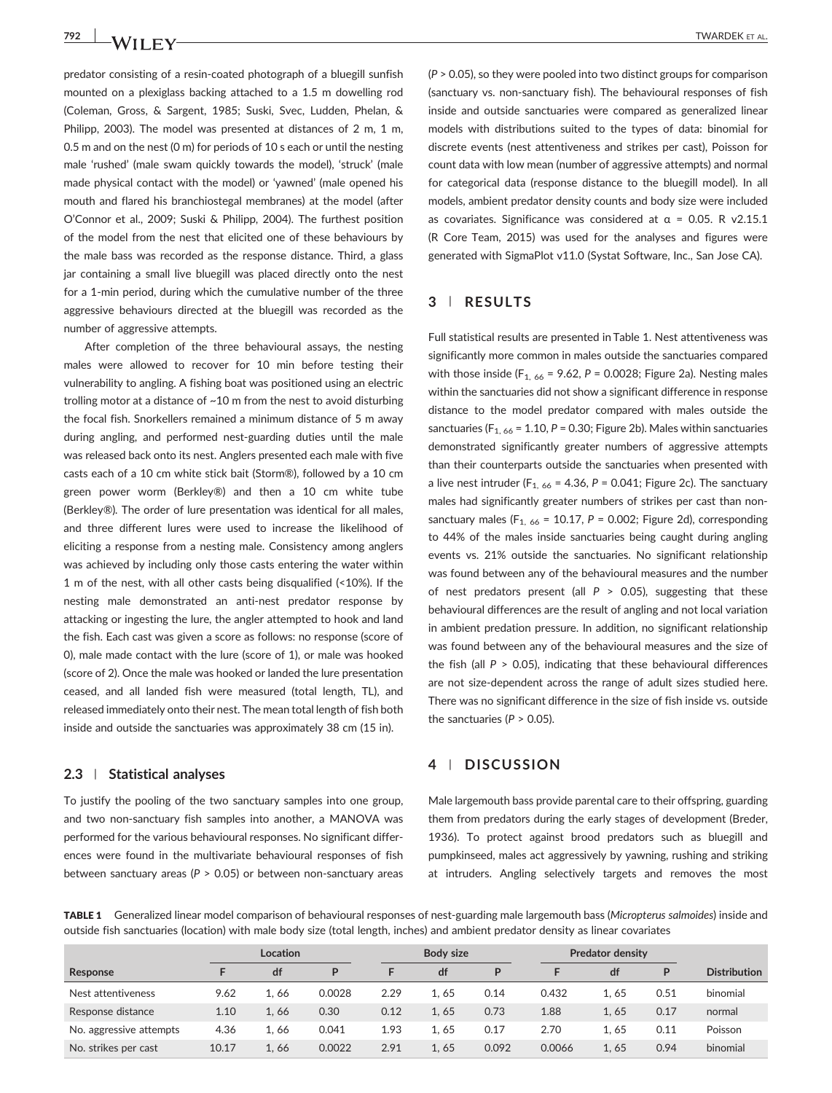**792 IVANDEK ET AL. TWARDEK ET AL.** 

predator consisting of a resin‐coated photograph of a bluegill sunfish mounted on a plexiglass backing attached to a 1.5 m dowelling rod (Coleman, Gross, & Sargent, 1985; Suski, Svec, Ludden, Phelan, & Philipp, 2003). The model was presented at distances of 2 m, 1 m, 0.5 m and on the nest (0 m) for periods of 10 s each or until the nesting male 'rushed' (male swam quickly towards the model), 'struck' (male made physical contact with the model) or 'yawned' (male opened his mouth and flared his branchiostegal membranes) at the model (after O'Connor et al., 2009; Suski & Philipp, 2004). The furthest position of the model from the nest that elicited one of these behaviours by the male bass was recorded as the response distance. Third, a glass jar containing a small live bluegill was placed directly onto the nest for a 1‐min period, during which the cumulative number of the three aggressive behaviours directed at the bluegill was recorded as the number of aggressive attempts.

After completion of the three behavioural assays, the nesting males were allowed to recover for 10 min before testing their vulnerability to angling. A fishing boat was positioned using an electric trolling motor at a distance of ~10 m from the nest to avoid disturbing the focal fish. Snorkellers remained a minimum distance of 5 m away during angling, and performed nest‐guarding duties until the male was released back onto its nest. Anglers presented each male with five casts each of a 10 cm white stick bait (Storm®), followed by a 10 cm green power worm (Berkley®) and then a 10 cm white tube (Berkley®). The order of lure presentation was identical for all males, and three different lures were used to increase the likelihood of eliciting a response from a nesting male. Consistency among anglers was achieved by including only those casts entering the water within 1 m of the nest, with all other casts being disqualified (<10%). If the nesting male demonstrated an anti‐nest predator response by attacking or ingesting the lure, the angler attempted to hook and land the fish. Each cast was given a score as follows: no response (score of 0), male made contact with the lure (score of 1), or male was hooked (score of 2). Once the male was hooked or landed the lure presentation ceased, and all landed fish were measured (total length, TL), and released immediately onto their nest. The mean total length of fish both inside and outside the sanctuaries was approximately 38 cm (15 in).

#### 2.3 | Statistical analyses

To justify the pooling of the two sanctuary samples into one group, and two non-sanctuary fish samples into another, a MANOVA was performed for the various behavioural responses. No significant differences were found in the multivariate behavioural responses of fish between sanctuary areas ( $P > 0.05$ ) or between non-sanctuary areas

(P > 0.05), so they were pooled into two distinct groups for comparison (sanctuary vs. non‐sanctuary fish). The behavioural responses of fish inside and outside sanctuaries were compared as generalized linear models with distributions suited to the types of data: binomial for discrete events (nest attentiveness and strikes per cast), Poisson for count data with low mean (number of aggressive attempts) and normal for categorical data (response distance to the bluegill model). In all models, ambient predator density counts and body size were included as covariates. Significance was considered at  $\alpha$  = 0.05. R v2.15.1 (R Core Team, 2015) was used for the analyses and figures were generated with SigmaPlot v11.0 (Systat Software, Inc., San Jose CA).

#### 3 | RESULTS

Full statistical results are presented in Table 1. Nest attentiveness was significantly more common in males outside the sanctuaries compared with those inside (F<sub>1, 66</sub> = 9.62, P = 0.0028; Figure 2a). Nesting males within the sanctuaries did not show a significant difference in response distance to the model predator compared with males outside the sanctuaries ( $F_{1, 66}$  = 1.10, P = 0.30; Figure 2b). Males within sanctuaries demonstrated significantly greater numbers of aggressive attempts than their counterparts outside the sanctuaries when presented with a live nest intruder ( $F_{1, 66}$  = 4.36, P = 0.041; Figure 2c). The sanctuary males had significantly greater numbers of strikes per cast than nonsanctuary males ( $F_{1, 66}$  = 10.17, P = 0.002; Figure 2d), corresponding to 44% of the males inside sanctuaries being caught during angling events vs. 21% outside the sanctuaries. No significant relationship was found between any of the behavioural measures and the number of nest predators present (all  $P > 0.05$ ), suggesting that these behavioural differences are the result of angling and not local variation in ambient predation pressure. In addition, no significant relationship was found between any of the behavioural measures and the size of the fish (all  $P > 0.05$ ), indicating that these behavioural differences are not size‐dependent across the range of adult sizes studied here. There was no significant difference in the size of fish inside vs. outside the sanctuaries ( $P > 0.05$ ).

## 4 | DISCUSSION

Male largemouth bass provide parental care to their offspring, guarding them from predators during the early stages of development (Breder, 1936). To protect against brood predators such as bluegill and pumpkinseed, males act aggressively by yawning, rushing and striking at intruders. Angling selectively targets and removes the most

TABLE 1 Generalized linear model comparison of behavioural responses of nest-guarding male largemouth bass (Micropterus salmoides) inside and outside fish sanctuaries (location) with male body size (total length, inches) and ambient predator density as linear covariates

|                         |       | <b>Location</b> |        |      | <b>Body size</b> |       |        | <b>Predator density</b> |      |                     |
|-------------------------|-------|-----------------|--------|------|------------------|-------|--------|-------------------------|------|---------------------|
| Response                |       | df              | P      |      | df               | D     |        | df                      | P    | <b>Distribution</b> |
| Nest attentiveness      | 9.62  | 1.66            | 0.0028 | 2.29 | 1.65             | 0.14  | 0.432  | 1.65                    | 0.51 | binomial            |
| Response distance       | 1.10  | 1.66            | 0.30   | 0.12 | 1.65             | 0.73  | 1.88   | 1.65                    | 0.17 | normal              |
| No. aggressive attempts | 4.36  | 1.66            | 0.041  | 1.93 | 1.65             | 0.17  | 2.70   | 1.65                    | 0.11 | Poisson             |
| No. strikes per cast    | 10.17 | 1.66            | 0.0022 | 2.91 | 1.65             | 0.092 | 0.0066 | 1.65                    | 0.94 | binomial            |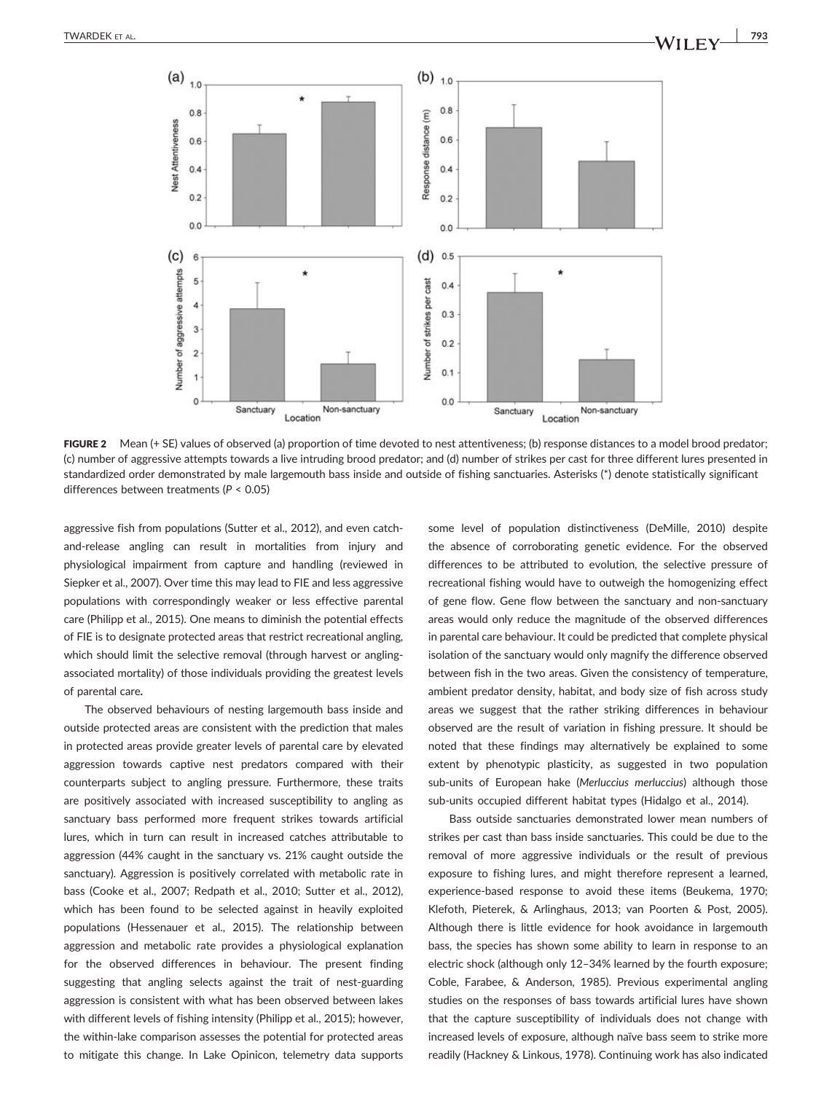

FIGURE 2 Mean (+ SE) values of observed (a) proportion of time devoted to nest attentiveness; (b) response distances to a model brood predator; (c) number of aggressive attempts towards a live intruding brood predator; and (d) number of strikes per cast for three different lures presented in standardized order demonstrated by male largemouth bass inside and outside of fishing sanctuaries. Asterisks (\*) denote statistically significant differences between treatments (P < 0.05)

aggressive fish from populations (Sutter et al., 2012), and even catch‐ and‐release angling can result in mortalities from injury and physiological impairment from capture and handling (reviewed in Siepker et al., 2007). Over time this may lead to FIE and less aggressive populations with correspondingly weaker or less effective parental care (Philipp et al., 2015). One means to diminish the potential effects of FIE is to designate protected areas that restrict recreational angling, which should limit the selective removal (through harvest or anglingassociated mortality) of those individuals providing the greatest levels of parental care.

The observed behaviours of nesting largemouth bass inside and outside protected areas are consistent with the prediction that males in protected areas provide greater levels of parental care by elevated aggression towards captive nest predators compared with their counterparts subject to angling pressure. Furthermore, these traits are positively associated with increased susceptibility to angling as sanctuary bass performed more frequent strikes towards artificial lures, which in turn can result in increased catches attributable to aggression (44% caught in the sanctuary vs. 21% caught outside the sanctuary). Aggression is positively correlated with metabolic rate in bass (Cooke et al., 2007; Redpath et al., 2010; Sutter et al., 2012), which has been found to be selected against in heavily exploited populations (Hessenauer et al., 2015). The relationship between aggression and metabolic rate provides a physiological explanation for the observed differences in behaviour. The present finding suggesting that angling selects against the trait of nest-guarding aggression is consistent with what has been observed between lakes with different levels of fishing intensity (Philipp et al., 2015); however, the within‐lake comparison assesses the potential for protected areas to mitigate this change. In Lake Opinicon, telemetry data supports some level of population distinctiveness (DeMille, 2010) despite the absence of corroborating genetic evidence. For the observed differences to be attributed to evolution, the selective pressure of recreational fishing would have to outweigh the homogenizing effect of gene flow. Gene flow between the sanctuary and non‐sanctuary areas would only reduce the magnitude of the observed differences in parental care behaviour. It could be predicted that complete physical isolation of the sanctuary would only magnify the difference observed between fish in the two areas. Given the consistency of temperature, ambient predator density, habitat, and body size of fish across study areas we suggest that the rather striking differences in behaviour observed are the result of variation in fishing pressure. It should be noted that these findings may alternatively be explained to some extent by phenotypic plasticity, as suggested in two population sub-units of European hake (Merluccius merluccius) although those sub-units occupied different habitat types (Hidalgo et al., 2014).

Bass outside sanctuaries demonstrated lower mean numbers of strikes per cast than bass inside sanctuaries. This could be due to the removal of more aggressive individuals or the result of previous exposure to fishing lures, and might therefore represent a learned, experience-based response to avoid these items (Beukema, 1970; Klefoth, Pieterek, & Arlinghaus, 2013; van Poorten & Post, 2005). Although there is little evidence for hook avoidance in largemouth bass, the species has shown some ability to learn in response to an electric shock (although only 12–34% learned by the fourth exposure; Coble, Farabee, & Anderson, 1985). Previous experimental angling studies on the responses of bass towards artificial lures have shown that the capture susceptibility of individuals does not change with increased levels of exposure, although naïve bass seem to strike more readily (Hackney & Linkous, 1978). Continuing work has also indicated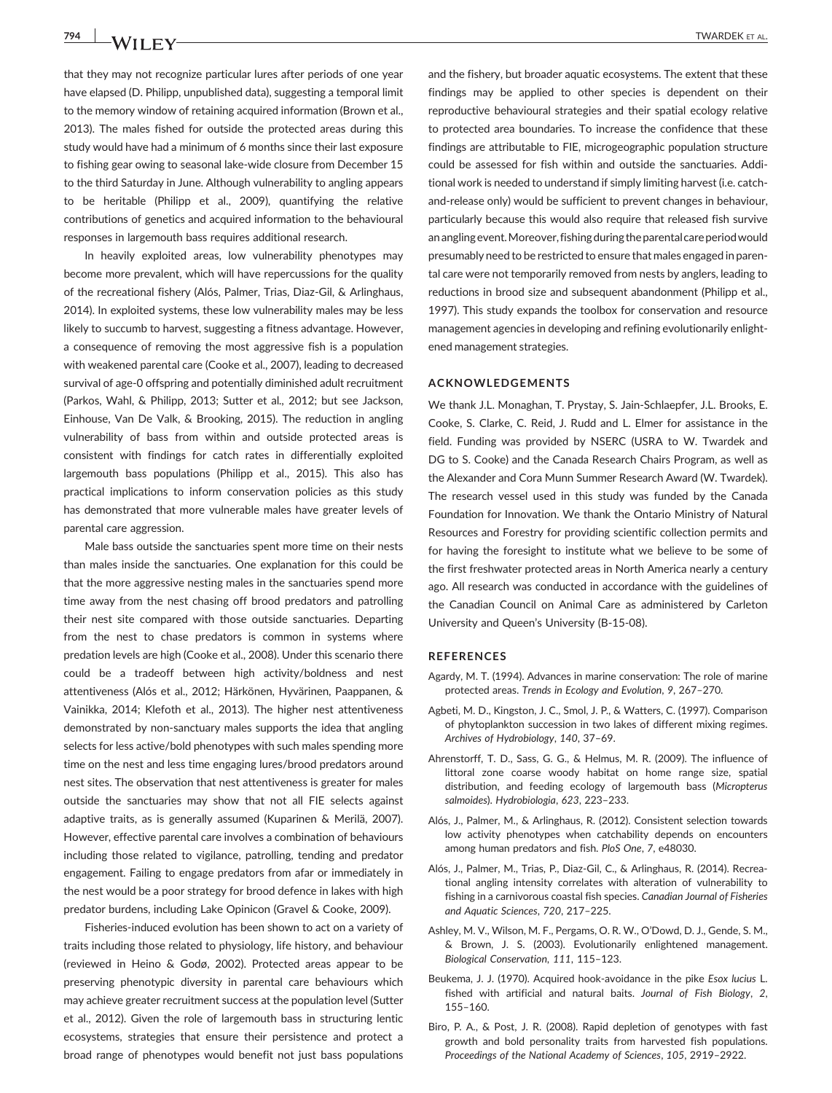that they may not recognize particular lures after periods of one year have elapsed (D. Philipp, unpublished data), suggesting a temporal limit to the memory window of retaining acquired information (Brown et al., 2013). The males fished for outside the protected areas during this study would have had a minimum of 6 months since their last exposure to fishing gear owing to seasonal lake‐wide closure from December 15 to the third Saturday in June. Although vulnerability to angling appears to be heritable (Philipp et al., 2009), quantifying the relative contributions of genetics and acquired information to the behavioural responses in largemouth bass requires additional research.

In heavily exploited areas, low vulnerability phenotypes may become more prevalent, which will have repercussions for the quality of the recreational fishery (Alós, Palmer, Trias, Diaz‐Gil, & Arlinghaus, 2014). In exploited systems, these low vulnerability males may be less likely to succumb to harvest, suggesting a fitness advantage. However, a consequence of removing the most aggressive fish is a population with weakened parental care (Cooke et al., 2007), leading to decreased survival of age‐0 offspring and potentially diminished adult recruitment (Parkos, Wahl, & Philipp, 2013; Sutter et al., 2012; but see Jackson, Einhouse, Van De Valk, & Brooking, 2015). The reduction in angling vulnerability of bass from within and outside protected areas is consistent with findings for catch rates in differentially exploited largemouth bass populations (Philipp et al., 2015). This also has practical implications to inform conservation policies as this study has demonstrated that more vulnerable males have greater levels of parental care aggression.

Male bass outside the sanctuaries spent more time on their nests than males inside the sanctuaries. One explanation for this could be that the more aggressive nesting males in the sanctuaries spend more time away from the nest chasing off brood predators and patrolling their nest site compared with those outside sanctuaries. Departing from the nest to chase predators is common in systems where predation levels are high (Cooke et al., 2008). Under this scenario there could be a tradeoff between high activity/boldness and nest attentiveness (Alós et al., 2012; Härkönen, Hyvärinen, Paappanen, & Vainikka, 2014; Klefoth et al., 2013). The higher nest attentiveness demonstrated by non‐sanctuary males supports the idea that angling selects for less active/bold phenotypes with such males spending more time on the nest and less time engaging lures/brood predators around nest sites. The observation that nest attentiveness is greater for males outside the sanctuaries may show that not all FIE selects against adaptive traits, as is generally assumed (Kuparinen & Merilä, 2007). However, effective parental care involves a combination of behaviours including those related to vigilance, patrolling, tending and predator engagement. Failing to engage predators from afar or immediately in the nest would be a poor strategy for brood defence in lakes with high predator burdens, including Lake Opinicon (Gravel & Cooke, 2009).

Fisheries‐induced evolution has been shown to act on a variety of traits including those related to physiology, life history, and behaviour (reviewed in Heino & Godø, 2002). Protected areas appear to be preserving phenotypic diversity in parental care behaviours which may achieve greater recruitment success at the population level (Sutter et al., 2012). Given the role of largemouth bass in structuring lentic ecosystems, strategies that ensure their persistence and protect a broad range of phenotypes would benefit not just bass populations and the fishery, but broader aquatic ecosystems. The extent that these findings may be applied to other species is dependent on their reproductive behavioural strategies and their spatial ecology relative to protected area boundaries. To increase the confidence that these findings are attributable to FIE, microgeographic population structure could be assessed for fish within and outside the sanctuaries. Additional work is needed to understand if simply limiting harvest (i.e. catch‐ and-release only) would be sufficient to prevent changes in behaviour, particularly because this would also require that released fish survive anangling event.Moreover, fishing during the parentalcare periodwould presumably need to be restricted to ensure that males engaged in parental care were not temporarily removed from nests by anglers, leading to reductions in brood size and subsequent abandonment (Philipp et al., 1997). This study expands the toolbox for conservation and resource management agencies in developing and refining evolutionarily enlightened management strategies.

#### ACKNOWLEDGEMENTS

We thank J.L. Monaghan, T. Prystay, S. Jain‐Schlaepfer, J.L. Brooks, E. Cooke, S. Clarke, C. Reid, J. Rudd and L. Elmer for assistance in the field. Funding was provided by NSERC (USRA to W. Twardek and DG to S. Cooke) and the Canada Research Chairs Program, as well as the Alexander and Cora Munn Summer Research Award (W. Twardek). The research vessel used in this study was funded by the Canada Foundation for Innovation. We thank the Ontario Ministry of Natural Resources and Forestry for providing scientific collection permits and for having the foresight to institute what we believe to be some of the first freshwater protected areas in North America nearly a century ago. All research was conducted in accordance with the guidelines of the Canadian Council on Animal Care as administered by Carleton University and Queen's University (B‐15‐08).

#### REFERENCES

- Agardy, M. T. (1994). Advances in marine conservation: The role of marine protected areas. Trends in Ecology and Evolution, 9, 267–270.
- Agbeti, M. D., Kingston, J. C., Smol, J. P., & Watters, C. (1997). Comparison of phytoplankton succession in two lakes of different mixing regimes. Archives of Hydrobiology, 140, 37–69.
- Ahrenstorff, T. D., Sass, G. G., & Helmus, M. R. (2009). The influence of littoral zone coarse woody habitat on home range size, spatial distribution, and feeding ecology of largemouth bass (Micropterus salmoides). Hydrobiologia, 623, 223–233.
- Alós, J., Palmer, M., & Arlinghaus, R. (2012). Consistent selection towards low activity phenotypes when catchability depends on encounters among human predators and fish. PloS One, 7, e48030.
- Alós, J., Palmer, M., Trias, P., Diaz‐Gil, C., & Arlinghaus, R. (2014). Recreational angling intensity correlates with alteration of vulnerability to fishing in a carnivorous coastal fish species. Canadian Journal of Fisheries and Aquatic Sciences, 720, 217–225.
- Ashley, M. V., Wilson, M. F., Pergams, O. R. W., O'Dowd, D. J., Gende, S. M., & Brown, J. S. (2003). Evolutionarily enlightened management. Biological Conservation, 111, 115–123.
- Beukema, J. J. (1970). Acquired hook‐avoidance in the pike Esox lucius L. fished with artificial and natural baits. Journal of Fish Biology, 2, 155–160.
- Biro, P. A., & Post, J. R. (2008). Rapid depletion of genotypes with fast growth and bold personality traits from harvested fish populations. Proceedings of the National Academy of Sciences, 105, 2919–2922.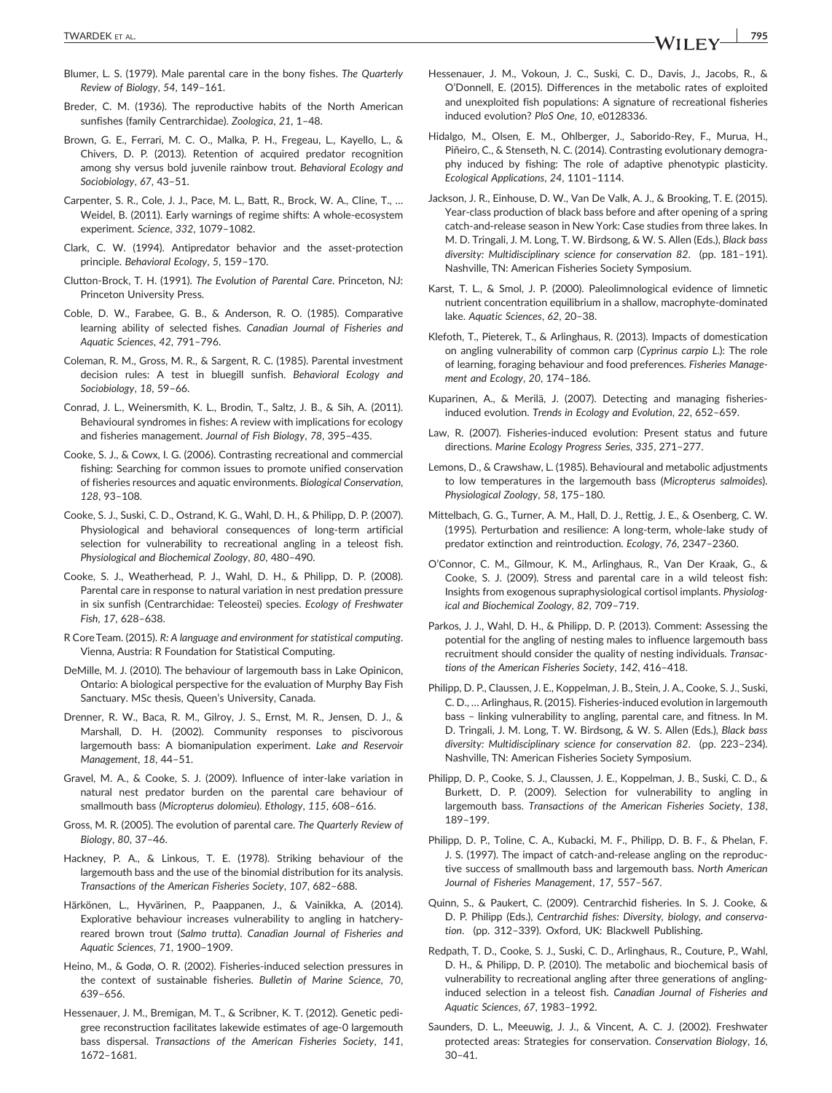- Blumer, L. S. (1979). Male parental care in the bony fishes. The Quarterly Review of Biology, 54, 149–161.
- Breder, C. M. (1936). The reproductive habits of the North American sunfishes (family Centrarchidae). Zoologica, 21, 1–48.
- Brown, G. E., Ferrari, M. C. O., Malka, P. H., Fregeau, L., Kayello, L., & Chivers, D. P. (2013). Retention of acquired predator recognition among shy versus bold juvenile rainbow trout. Behavioral Ecology and Sociobiology, 67, 43–51.
- Carpenter, S. R., Cole, J. J., Pace, M. L., Batt, R., Brock, W. A., Cline, T., … Weidel, B. (2011). Early warnings of regime shifts: A whole‐ecosystem experiment. Science, 332, 1079–1082.
- Clark, C. W. (1994). Antipredator behavior and the asset‐protection principle. Behavioral Ecology, 5, 159–170.
- Clutton‐Brock, T. H. (1991). The Evolution of Parental Care. Princeton, NJ: Princeton University Press.
- Coble, D. W., Farabee, G. B., & Anderson, R. O. (1985). Comparative learning ability of selected fishes. Canadian Journal of Fisheries and Aquatic Sciences, 42, 791–796.
- Coleman, R. M., Gross, M. R., & Sargent, R. C. (1985). Parental investment decision rules: A test in bluegill sunfish. Behavioral Ecology and Sociobiology, 18, 59–66.
- Conrad, J. L., Weinersmith, K. L., Brodin, T., Saltz, J. B., & Sih, A. (2011). Behavioural syndromes in fishes: A review with implications for ecology and fisheries management. Journal of Fish Biology, 78, 395–435.
- Cooke, S. J., & Cowx, I. G. (2006). Contrasting recreational and commercial fishing: Searching for common issues to promote unified conservation of fisheries resources and aquatic environments. Biological Conservation, 128, 93–108.
- Cooke, S. J., Suski, C. D., Ostrand, K. G., Wahl, D. H., & Philipp, D. P. (2007). Physiological and behavioral consequences of long-term artificial selection for vulnerability to recreational angling in a teleost fish. Physiological and Biochemical Zoology, 80, 480–490.
- Cooke, S. J., Weatherhead, P. J., Wahl, D. H., & Philipp, D. P. (2008). Parental care in response to natural variation in nest predation pressure in six sunfish (Centrarchidae: Teleostei) species. Ecology of Freshwater Fish, 17, 628–638.
- R CoreTeam. (2015). R: A language and environment for statistical computing. Vienna, Austria: R Foundation for Statistical Computing.
- DeMille, M. J. (2010). The behaviour of largemouth bass in Lake Opinicon, Ontario: A biological perspective for the evaluation of Murphy Bay Fish Sanctuary. MSc thesis, Queen's University, Canada.
- Drenner, R. W., Baca, R. M., Gilroy, J. S., Ernst, M. R., Jensen, D. J., & Marshall, D. H. (2002). Community responses to piscivorous largemouth bass: A biomanipulation experiment. Lake and Reservoir Management, 18, 44–51.
- Gravel, M. A., & Cooke, S. J. (2009). Influence of inter‐lake variation in natural nest predator burden on the parental care behaviour of smallmouth bass (Micropterus dolomieu). Ethology, 115, 608–616.
- Gross, M. R. (2005). The evolution of parental care. The Quarterly Review of Biology, 80, 37–46.
- Hackney, P. A., & Linkous, T. E. (1978). Striking behaviour of the largemouth bass and the use of the binomial distribution for its analysis. Transactions of the American Fisheries Society, 107, 682–688.
- Härkönen, L., Hyvärinen, P., Paappanen, J., & Vainikka, A. (2014). Explorative behaviour increases vulnerability to angling in hatchery‐ reared brown trout (Salmo trutta). Canadian Journal of Fisheries and Aquatic Sciences, 71, 1900–1909.
- Heino, M., & Godø, O. R. (2002). Fisheries‐induced selection pressures in the context of sustainable fisheries. Bulletin of Marine Science, 70, 639–656.
- Hessenauer, J. M., Bremigan, M. T., & Scribner, K. T. (2012). Genetic pedigree reconstruction facilitates lakewide estimates of age‐0 largemouth bass dispersal. Transactions of the American Fisheries Society, 141, 1672–1681.
- Hessenauer, J. M., Vokoun, J. C., Suski, C. D., Davis, J., Jacobs, R., & O'Donnell, E. (2015). Differences in the metabolic rates of exploited and unexploited fish populations: A signature of recreational fisheries induced evolution? PloS One, 10, e0128336.
- Hidalgo, M., Olsen, E. M., Ohlberger, J., Saborido‐Rey, F., Murua, H., Piñeiro, C., & Stenseth, N. C. (2014). Contrasting evolutionary demography induced by fishing: The role of adaptive phenotypic plasticity. Ecological Applications, 24, 1101–1114.
- Jackson, J. R., Einhouse, D. W., Van De Valk, A. J., & Brooking, T. E. (2015). Year‐class production of black bass before and after opening of a spring catch‐and‐release season in New York: Case studies from three lakes. In M. D. Tringali, J. M. Long, T. W. Birdsong, & W. S. Allen (Eds.), Black bass diversity: Multidisciplinary science for conservation 82. (pp. 181-191). Nashville, TN: American Fisheries Society Symposium.
- Karst, T. L., & Smol, J. P. (2000). Paleolimnological evidence of limnetic nutrient concentration equilibrium in a shallow, macrophyte‐dominated lake. Aquatic Sciences, 62, 20–38.
- Klefoth, T., Pieterek, T., & Arlinghaus, R. (2013). Impacts of domestication on angling vulnerability of common carp (Cyprinus carpio L.): The role of learning, foraging behaviour and food preferences. Fisheries Management and Ecology, 20, 174–186.
- Kuparinen, A., & Merilä, J. (2007). Detecting and managing fisheries‐ induced evolution. Trends in Ecology and Evolution, 22, 652–659.
- Law, R. (2007). Fisheries-induced evolution: Present status and future directions. Marine Ecology Progress Series, 335, 271–277.
- Lemons, D., & Crawshaw, L. (1985). Behavioural and metabolic adjustments to low temperatures in the largemouth bass (Micropterus salmoides). Physiological Zoology, 58, 175–180.
- Mittelbach, G. G., Turner, A. M., Hall, D. J., Rettig, J. E., & Osenberg, C. W. (1995). Perturbation and resilience: A long‐term, whole‐lake study of predator extinction and reintroduction. Ecology, 76, 2347–2360.
- O'Connor, C. M., Gilmour, K. M., Arlinghaus, R., Van Der Kraak, G., & Cooke, S. J. (2009). Stress and parental care in a wild teleost fish: Insights from exogenous supraphysiological cortisol implants. Physiological and Biochemical Zoology, 82, 709–719.
- Parkos, J. J., Wahl, D. H., & Philipp, D. P. (2013). Comment: Assessing the potential for the angling of nesting males to influence largemouth bass recruitment should consider the quality of nesting individuals. Transactions of the American Fisheries Society, 142, 416–418.
- Philipp, D. P., Claussen, J. E., Koppelman, J. B., Stein, J. A., Cooke, S. J., Suski, C. D., … Arlinghaus, R. (2015). Fisheries‐induced evolution in largemouth bass – linking vulnerability to angling, parental care, and fitness. In M. D. Tringali, J. M. Long, T. W. Birdsong, & W. S. Allen (Eds.), Black bass diversity: Multidisciplinary science for conservation 82. (pp. 223–234). Nashville, TN: American Fisheries Society Symposium.
- Philipp, D. P., Cooke, S. J., Claussen, J. E., Koppelman, J. B., Suski, C. D., & Burkett, D. P. (2009). Selection for vulnerability to angling in largemouth bass. Transactions of the American Fisheries Society, 138, 189–199.
- Philipp, D. P., Toline, C. A., Kubacki, M. F., Philipp, D. B. F., & Phelan, F. J. S. (1997). The impact of catch‐and‐release angling on the reproductive success of smallmouth bass and largemouth bass. North American Journal of Fisheries Management, 17, 557–567.
- Quinn, S., & Paukert, C. (2009). Centrarchid fisheries. In S. J. Cooke, & D. P. Philipp (Eds.), Centrarchid fishes: Diversity, biology, and conservation. (pp. 312–339). Oxford, UK: Blackwell Publishing.
- Redpath, T. D., Cooke, S. J., Suski, C. D., Arlinghaus, R., Couture, P., Wahl, D. H., & Philipp, D. P. (2010). The metabolic and biochemical basis of vulnerability to recreational angling after three generations of anglinginduced selection in a teleost fish. Canadian Journal of Fisheries and Aquatic Sciences, 67, 1983–1992.
- Saunders, D. L., Meeuwig, J. J., & Vincent, A. C. J. (2002). Freshwater protected areas: Strategies for conservation. Conservation Biology, 16,  $30 - 41$